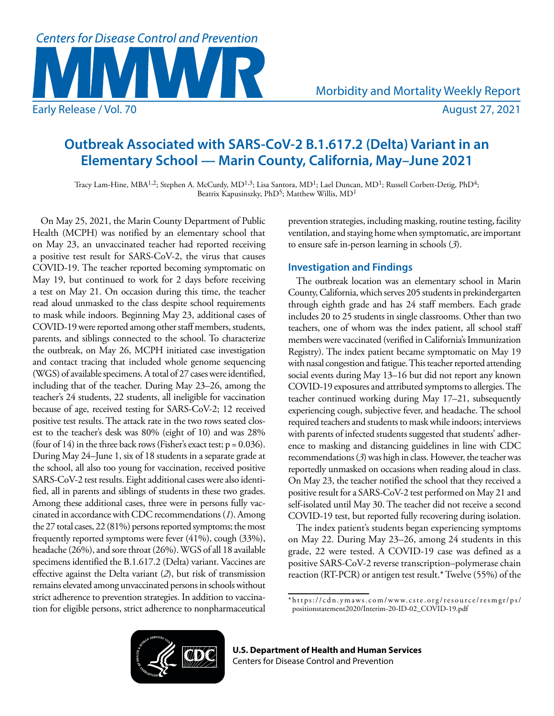

Morbidity and Mortality Weekly Report

# **Outbreak Associated with SARS-CoV-2 B.1.617.2 (Delta) Variant in an Elementary School — Marin County, California, May–June 2021**

Tracy Lam-Hine, MBA<sup>1,2</sup>; Stephen A. McCurdy, MD<sup>1,3</sup>; Lisa Santora, MD<sup>1</sup>; Lael Duncan, MD<sup>1</sup>; Russell Corbett-Detig, PhD<sup>4</sup>; Beatrix Kapusinszky, PhD<sup>5</sup>; Matthew Willis, MD<sup>1</sup>

On May 25, 2021, the Marin County Department of Public Health (MCPH) was notified by an elementary school that on May 23, an unvaccinated teacher had reported receiving a positive test result for SARS-CoV-2, the virus that causes COVID-19. The teacher reported becoming symptomatic on May 19, but continued to work for 2 days before receiving a test on May 21. On occasion during this time, the teacher read aloud unmasked to the class despite school requirements to mask while indoors. Beginning May 23, additional cases of COVID-19 were reported among other staff members, students, parents, and siblings connected to the school. To characterize the outbreak, on May 26, MCPH initiated case investigation and contact tracing that included whole genome sequencing (WGS) of available specimens. A total of 27 cases were identified, including that of the teacher. During May 23–26, among the teacher's 24 students, 22 students, all ineligible for vaccination because of age, received testing for SARS-CoV-2; 12 received positive test results. The attack rate in the two rows seated closest to the teacher's desk was 80% (eight of 10) and was 28% (four of 14) in the three back rows (Fisher's exact test;  $p = 0.036$ ). During May 24–June 1, six of 18 students in a separate grade at the school, all also too young for vaccination, received positive SARS-CoV-2 test results. Eight additional cases were also identified, all in parents and siblings of students in these two grades. Among these additional cases, three were in persons fully vaccinated in accordance with CDC recommendations (*1*). Among the 27 total cases, 22 (81%) persons reported symptoms; the most frequently reported symptoms were fever (41%), cough (33%), headache (26%), and sore throat (26%). WGS of all 18 available specimens identified the B.1.617.2 (Delta) variant. Vaccines are effective against the Delta variant (*2*), but risk of transmission remains elevated among unvaccinated persons in schools without strict adherence to prevention strategies. In addition to vaccination for eligible persons, strict adherence to nonpharmaceutical

prevention strategies, including masking, routine testing, facility ventilation, and staying home when symptomatic, are important to ensure safe in-person learning in schools (*3*).

## **Investigation and Findings**

The outbreak location was an elementary school in Marin County, California, which serves 205 students in prekindergarten through eighth grade and has 24 staff members. Each grade includes 20 to 25 students in single classrooms. Other than two teachers, one of whom was the index patient, all school staff members were vaccinated (verified in California's Immunization Registry). The index patient became symptomatic on May 19 with nasal congestion and fatigue. This teacher reported attending social events during May 13–16 but did not report any known COVID-19 exposures and attributed symptoms to allergies. The teacher continued working during May 17–21, subsequently experiencing cough, subjective fever, and headache. The school required teachers and students to mask while indoors; interviews with parents of infected students suggested that students' adherence to masking and distancing guidelines in line with CDC recommendations (*3*) was high in class. However, the teacher was reportedly unmasked on occasions when reading aloud in class. On May 23, the teacher notified the school that they received a positive result for a SARS-CoV-2 test performed on May 21 and self-isolated until May 30. The teacher did not receive a second COVID-19 test, but reported fully recovering during isolation.

The index patient's students began experiencing symptoms on May 22. During May 23–26, among 24 students in this grade, 22 were tested. A COVID-19 case was defined as a positive SARS-CoV-2 reverse transcription–polymerase chain reaction (RT-PCR) or antigen test result.\* Twelve (55%) of the



**U.S. Department of Health and Human Services** Centers for Disease Control and Prevention

<sup>\*</sup> [https://cdn.ymaws.com/www.cste.org/resource/resmgr/ps/](https://cdn.ymaws.com/www.cste.org/resource/resmgr/ps/positionstatement2020/Interim-20-ID-02_COVID-19.pdf) [positionstatement2020/Interim-20-ID-02\\_COVID-19.pdf](https://cdn.ymaws.com/www.cste.org/resource/resmgr/ps/positionstatement2020/Interim-20-ID-02_COVID-19.pdf)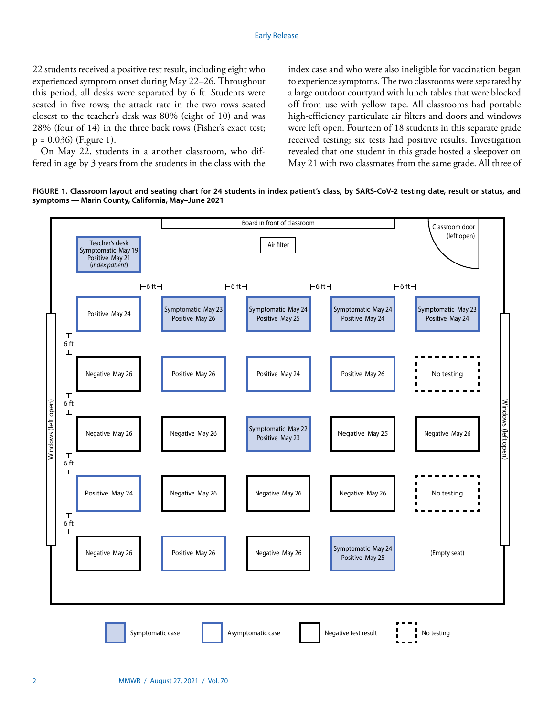22 students received a positive test result, including eight who experienced symptom onset during May 22–26. Throughout this period, all desks were separated by 6 ft. Students were seated in five rows; the attack rate in the two rows seated closest to the teacher's desk was 80% (eight of 10) and was 28% (four of 14) in the three back rows (Fisher's exact test;  $p = 0.036$ ) (Figure 1).

On May 22, students in a another classroom, who differed in age by 3 years from the students in the class with the index case and who were also ineligible for vaccination began to experience symptoms. The two classrooms were separated by a large outdoor courtyard with lunch tables that were blocked off from use with yellow tape. All classrooms had portable high-efficiency particulate air filters and doors and windows were left open. Fourteen of 18 students in this separate grade received testing; six tests had positive results. Investigation revealed that one student in this grade hosted a sleepover on May 21 with two classmates from the same grade. All three of

**FIGURE 1. Classroom layout and seating chart for 24 students in index patient's class, by SARS-CoV-2 testing date, result or status, and symptoms — Marin County, California, May–June 2021**

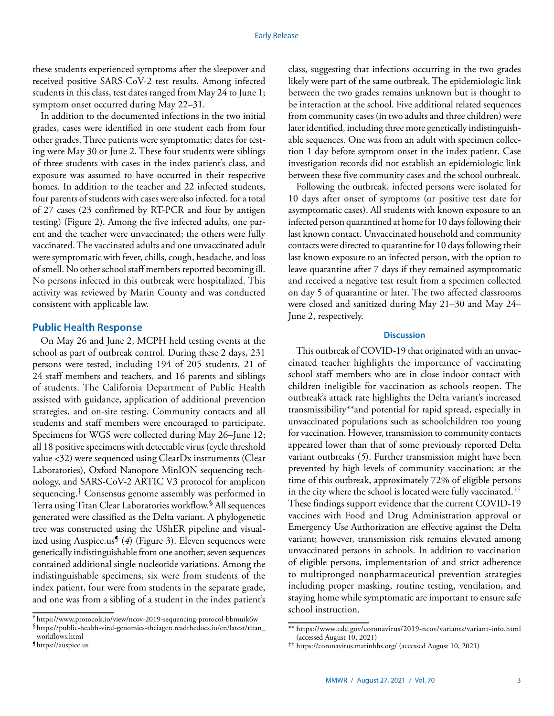these students experienced symptoms after the sleepover and received positive SARS-CoV-2 test results. Among infected students in this class, test dates ranged from May 24 to June 1; symptom onset occurred during May 22–31.

In addition to the documented infections in the two initial grades, cases were identified in one student each from four other grades. Three patients were symptomatic; dates for testing were May 30 or June 2. These four students were siblings of three students with cases in the index patient's class, and exposure was assumed to have occurred in their respective homes. In addition to the teacher and 22 infected students, four parents of students with cases were also infected, for a total of 27 cases (23 confirmed by RT-PCR and four by antigen testing) (Figure 2). Among the five infected adults, one parent and the teacher were unvaccinated; the others were fully vaccinated. The vaccinated adults and one unvaccinated adult were symptomatic with fever, chills, cough, headache, and loss of smell. No other school staff members reported becoming ill. No persons infected in this outbreak were hospitalized. This activity was reviewed by Marin County and was conducted consistent with applicable law.

### **Public Health Response**

On May 26 and June 2, MCPH held testing events at the school as part of outbreak control. During these 2 days, 231 persons were tested, including 194 of 205 students, 21 of 24 staff members and teachers, and 16 parents and siblings of students. The California Department of Public Health assisted with guidance, application of additional prevention strategies, and on-site testing. Community contacts and all students and staff members were encouraged to participate. Specimens for WGS were collected during May 26–June 12; all 18 positive specimens with detectable virus (cycle threshold value <32) were sequenced using ClearDx instruments (Clear Laboratories), Oxford Nanopore MinION sequencing technology, and SARS-CoV-2 ARTIC V3 protocol for amplicon sequencing.† Consensus genome assembly was performed in Terra using Titan Clear Laboratories workflow.§ All sequences generated were classified as the Delta variant. A phylogenetic tree was constructed using the UShER pipeline and visualized using Auspice.us¶ (*4*) (Figure 3). Eleven sequences were genetically indistinguishable from one another; seven sequences contained additional single nucleotide variations. Among the indistinguishable specimens, six were from students of the index patient, four were from students in the separate grade, and one was from a sibling of a student in the index patient's

class, suggesting that infections occurring in the two grades likely were part of the same outbreak. The epidemiologic link between the two grades remains unknown but is thought to be interaction at the school. Five additional related sequences from community cases (in two adults and three children) were later identified, including three more genetically indistinguishable sequences. One was from an adult with specimen collection 1 day before symptom onset in the index patient. Case investigation records did not establish an epidemiologic link between these five community cases and the school outbreak.

Following the outbreak, infected persons were isolated for 10 days after onset of symptoms (or positive test date for asymptomatic cases). All students with known exposure to an infected person quarantined at home for 10 days following their last known contact. Unvaccinated household and community contacts were directed to quarantine for 10 days following their last known exposure to an infected person, with the option to leave quarantine after 7 days if they remained asymptomatic and received a negative test result from a specimen collected on day 5 of quarantine or later. The two affected classrooms were closed and sanitized during May 21–30 and May 24– June 2, respectively.

#### **Discussion**

This outbreak of COVID-19 that originated with an unvaccinated teacher highlights the importance of vaccinating school staff members who are in close indoor contact with children ineligible for vaccination as schools reopen. The outbreak's attack rate highlights the Delta variant's increased transmissibility\*\*and potential for rapid spread, especially in unvaccinated populations such as schoolchildren too young for vaccination. However, transmission to community contacts appeared lower than that of some previously reported Delta variant outbreaks (*5*). Further transmission might have been prevented by high levels of community vaccination; at the time of this outbreak, approximately 72% of eligible persons in the city where the school is located were fully vaccinated.†† These findings support evidence that the current COVID-19 vaccines with Food and Drug Administration approval or Emergency Use Authorization are effective against the Delta variant; however, transmission risk remains elevated among unvaccinated persons in schools. In addition to vaccination of eligible persons, implementation of and strict adherence to multipronged nonpharmaceutical prevention strategies including proper masking, routine testing, ventilation, and staying home while symptomatic are important to ensure safe school instruction.

<sup>†</sup> <https://www.protocols.io/view/ncov-2019-sequencing-protocol-bbmuik6w> §[https://public-health-viral-genomics-theiagen.readthedocs.io/en/latest/titan\\_](https://public-health-viral-genomics-theiagen.readthedocs.io/en/latest/titan_workflows.html) [workflows.html](https://public-health-viral-genomics-theiagen.readthedocs.io/en/latest/titan_workflows.html)

<sup>¶</sup> <https://auspice.us>

<sup>\*\*</sup> <https://www.cdc.gov/coronavirus/2019-ncov/variants/variant-info.html> (accessed August 10, 2021)

<sup>††</sup> <https://coronavirus.marinhhs.org/>(accessed August 10, 2021)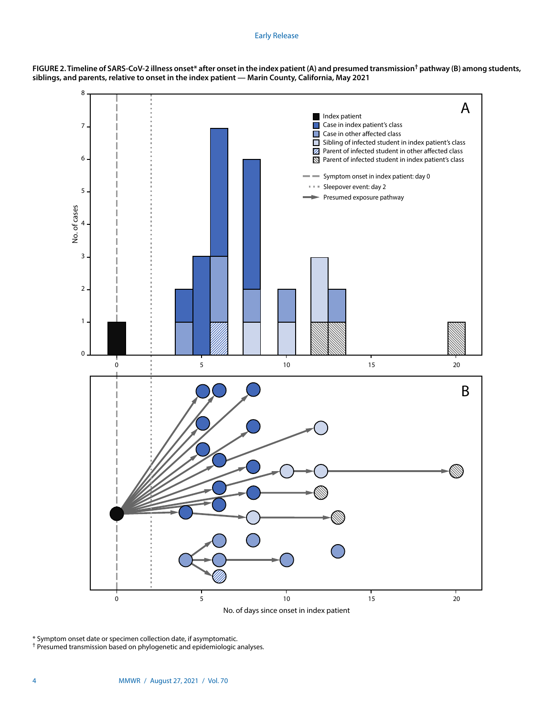#### Early Release





\* Symptom onset date or specimen collection date, if asymptomatic.

† Presumed transmission based on phylogenetic and epidemiologic analyses.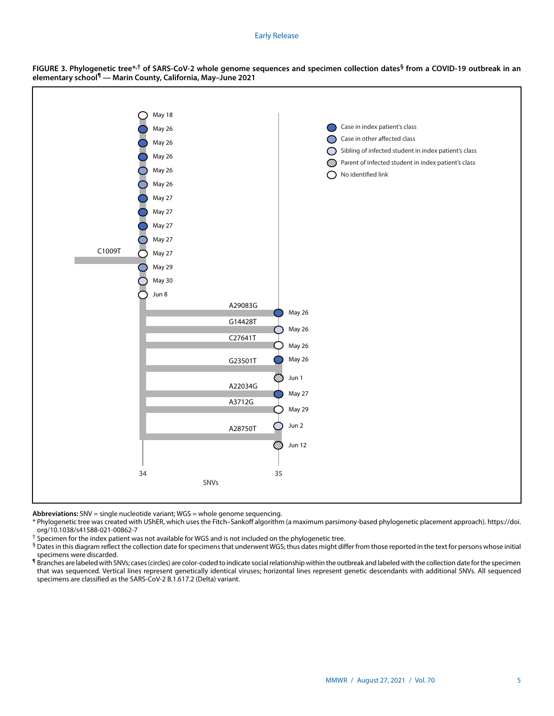#### Early Release



**FIGURE 3. Phylogenetic tree\*,† of SARS-CoV-2 whole genome sequences and specimen collection dates§ from a COVID-19 outbreak in an elementary school¶ — Marin County, California, May–June 2021**

**Abbreviations:** SNV = single nucleotide variant; WGS = whole genome sequencing.

\* Phylogenetic tree was created with UShER, which uses the Fitch–Sankoff algorithm (a maximum parsimony-based phylogenetic placement approach). [https://doi.](https://doi.org/10.1038/s41588-021-00862-7) [org/10.1038/s41588-021-00862-7](https://doi.org/10.1038/s41588-021-00862-7)

† Specimen for the index patient was not available for WGS and is not included on the phylogenetic tree.

§ Dates in this diagram reflect the collection date for specimens that underwent WGS; thus dates might differ from those reported in the text for persons whose initial specimens were discarded.

**<sup>1</sup>** Branches are labeled with SNVs; cases (circles) are color-coded to indicate social relationship within the outbreak and labeled with the collection date for the specimen that was sequenced. Vertical lines represent genetically identical viruses; horizontal lines represent genetic descendants with additional SNVs. All sequenced specimens are classified as the SARS-CoV-2 B.1.617.2 (Delta) variant.